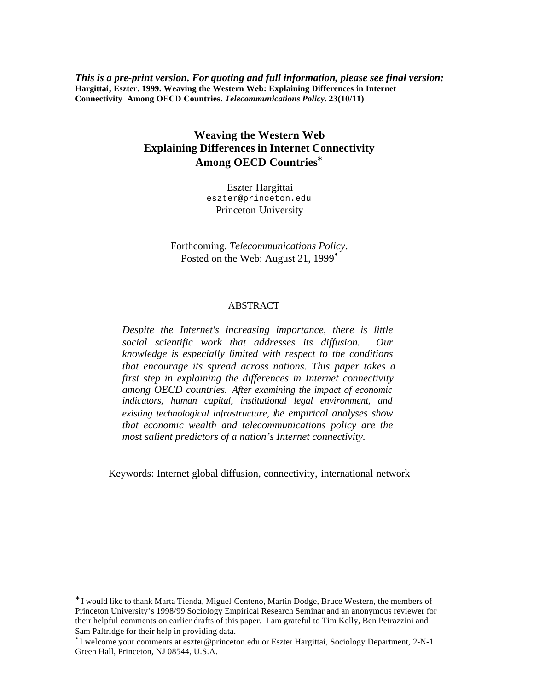*This is a pre-print version. For quoting and full information, please see final version:* **Hargittai, Eszter. 1999. Weaving the Western Web: Explaining Differences in Internet Connectivity Among OECD Countries.** *Telecommunications Policy.* **23(10/11)**

# **Weaving the Western Web Explaining Differences in Internet Connectivity Among OECD Countries\***

Eszter Hargittai eszter@princeton.edu Princeton University

Forthcoming. *Telecommunications Policy*. Posted on the Web: August 21, 1999<sup>•</sup>

#### ABSTRACT

*Despite the Internet's increasing importance, there is little social scientific work that addresses its diffusion. Our knowledge is especially limited with respect to the conditions that encourage its spread across nations. This paper takes a first step in explaining the differences in Internet connectivity among OECD countries. After examining the impact of economic indicators, human capital, institutional legal environment, and existing technological infrastructure, the empirical analyses show that economic wealth and telecommunications policy are the most salient predictors of a nation's Internet connectivity.*

Keywords: Internet global diffusion, connectivity, international network

l

<sup>∗</sup> I would like to thank Marta Tienda, Miguel Centeno, Martin Dodge, Bruce Western, the members of Princeton University's 1998/99 Sociology Empirical Research Seminar and an anonymous reviewer for their helpful comments on earlier drafts of this paper. I am grateful to Tim Kelly, Ben Petrazzini and Sam Paltridge for their help in providing data.

<sup>•</sup> I welcome your comments at eszter@princeton.edu or Eszter Hargittai, Sociology Department, 2-N-1 Green Hall, Princeton, NJ 08544, U.S.A.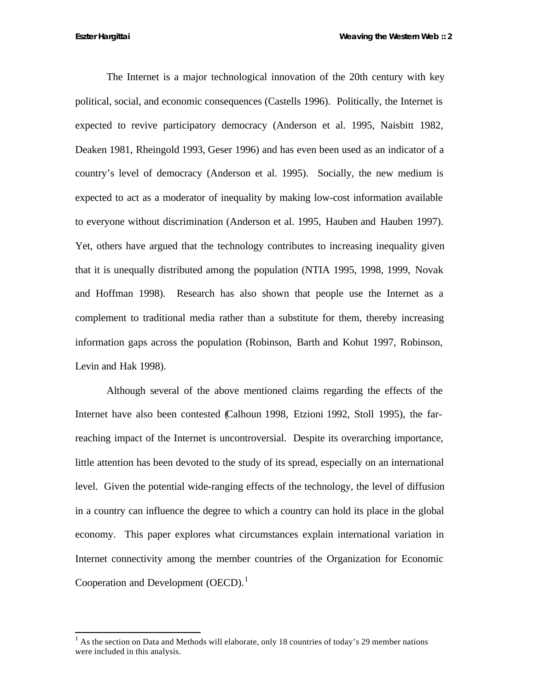The Internet is a major technological innovation of the 20th century with key political, social, and economic consequences (Castells 1996). Politically, the Internet is expected to revive participatory democracy (Anderson et al. 1995, Naisbitt 1982, Deaken 1981, Rheingold 1993, Geser 1996) and has even been used as an indicator of a country's level of democracy (Anderson et al. 1995). Socially, the new medium is expected to act as a moderator of inequality by making low-cost information available to everyone without discrimination (Anderson et al. 1995, Hauben and Hauben 1997). Yet, others have argued that the technology contributes to increasing inequality given that it is unequally distributed among the population (NTIA 1995, 1998, 1999, Novak and Hoffman 1998). Research has also shown that people use the Internet as a complement to traditional media rather than a substitute for them, thereby increasing information gaps across the population (Robinson, Barth and Kohut 1997, Robinson, Levin and Hak 1998).

Although several of the above mentioned claims regarding the effects of the Internet have also been contested (Calhoun 1998, Etzioni 1992, Stoll 1995), the farreaching impact of the Internet is uncontroversial. Despite its overarching importance, little attention has been devoted to the study of its spread, especially on an international level. Given the potential wide-ranging effects of the technology, the level of diffusion in a country can influence the degree to which a country can hold its place in the global economy. This paper explores what circumstances explain international variation in Internet connectivity among the member countries of the Organization for Economic Cooperation and Development  $(OECD)$ .<sup>1</sup>

<sup>1</sup> As the section on Data and Methods will elaborate, only 18 countries of today's 29 member nations were included in this analysis.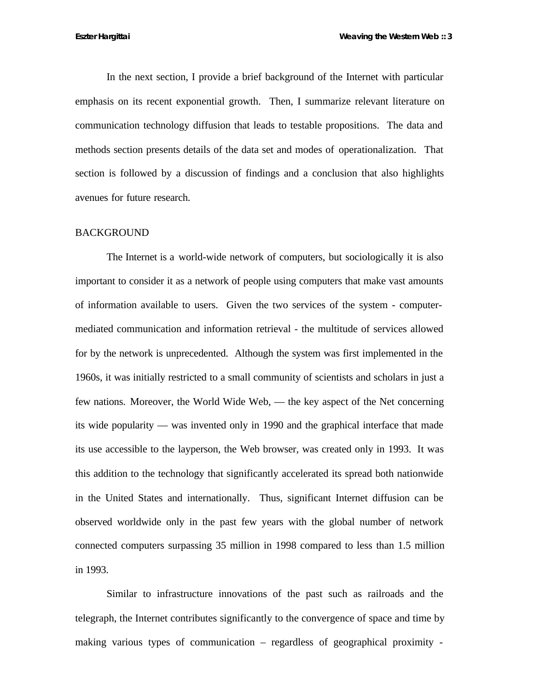In the next section, I provide a brief background of the Internet with particular emphasis on its recent exponential growth. Then, I summarize relevant literature on communication technology diffusion that leads to testable propositions. The data and methods section presents details of the data set and modes of operationalization. That section is followed by a discussion of findings and a conclusion that also highlights avenues for future research.

#### BACKGROUND

The Internet is a world-wide network of computers, but sociologically it is also important to consider it as a network of people using computers that make vast amounts of information available to users. Given the two services of the system - computermediated communication and information retrieval - the multitude of services allowed for by the network is unprecedented. Although the system was first implemented in the 1960s, it was initially restricted to a small community of scientists and scholars in just a few nations. Moreover, the World Wide Web, — the key aspect of the Net concerning its wide popularity — was invented only in 1990 and the graphical interface that made its use accessible to the layperson, the Web browser, was created only in 1993. It was this addition to the technology that significantly accelerated its spread both nationwide in the United States and internationally. Thus, significant Internet diffusion can be observed worldwide only in the past few years with the global number of network connected computers surpassing 35 million in 1998 compared to less than 1.5 million in 1993.

Similar to infrastructure innovations of the past such as railroads and the telegraph, the Internet contributes significantly to the convergence of space and time by making various types of communication – regardless of geographical proximity -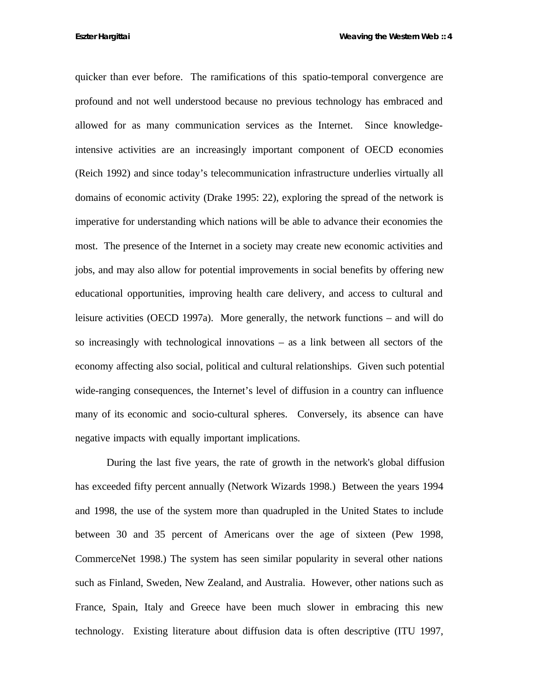**Eszter Hargittai Weaving the Western Web :: 4**

quicker than ever before. The ramifications of this spatio-temporal convergence are profound and not well understood because no previous technology has embraced and allowed for as many communication services as the Internet. Since knowledgeintensive activities are an increasingly important component of OECD economies (Reich 1992) and since today's telecommunication infrastructure underlies virtually all domains of economic activity (Drake 1995: 22), exploring the spread of the network is imperative for understanding which nations will be able to advance their economies the most. The presence of the Internet in a society may create new economic activities and jobs, and may also allow for potential improvements in social benefits by offering new educational opportunities, improving health care delivery, and access to cultural and leisure activities (OECD 1997a). More generally, the network functions – and will do so increasingly with technological innovations – as a link between all sectors of the economy affecting also social, political and cultural relationships. Given such potential wide-ranging consequences, the Internet's level of diffusion in a country can influence many of its economic and socio-cultural spheres. Conversely, its absence can have negative impacts with equally important implications.

During the last five years, the rate of growth in the network's global diffusion has exceeded fifty percent annually (Network Wizards 1998.) Between the years 1994 and 1998, the use of the system more than quadrupled in the United States to include between 30 and 35 percent of Americans over the age of sixteen (Pew 1998, CommerceNet 1998.) The system has seen similar popularity in several other nations such as Finland, Sweden, New Zealand, and Australia. However, other nations such as France, Spain, Italy and Greece have been much slower in embracing this new technology. Existing literature about diffusion data is often descriptive (ITU 1997,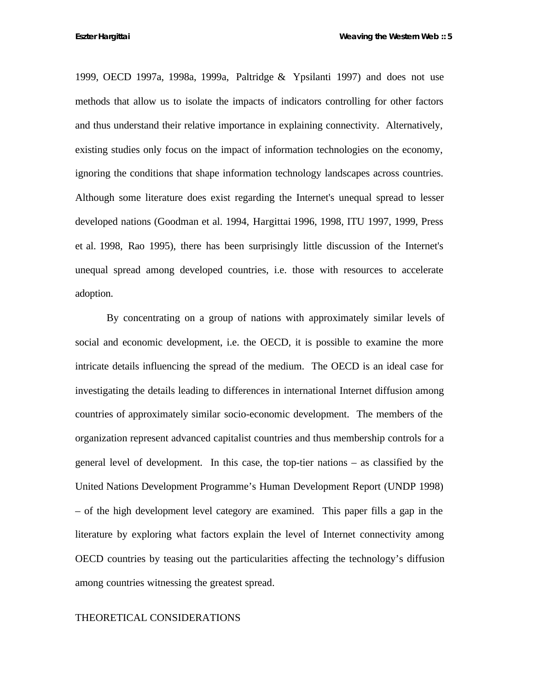1999, OECD 1997a, 1998a, 1999a, Paltridge & Ypsilanti 1997) and does not use methods that allow us to isolate the impacts of indicators controlling for other factors and thus understand their relative importance in explaining connectivity. Alternatively, existing studies only focus on the impact of information technologies on the economy, ignoring the conditions that shape information technology landscapes across countries. Although some literature does exist regarding the Internet's unequal spread to lesser developed nations (Goodman et al. 1994, Hargittai 1996, 1998, ITU 1997, 1999, Press et al. 1998, Rao 1995), there has been surprisingly little discussion of the Internet's unequal spread among developed countries, i.e. those with resources to accelerate adoption.

By concentrating on a group of nations with approximately similar levels of social and economic development, i.e. the OECD, it is possible to examine the more intricate details influencing the spread of the medium. The OECD is an ideal case for investigating the details leading to differences in international Internet diffusion among countries of approximately similar socio-economic development. The members of the organization represent advanced capitalist countries and thus membership controls for a general level of development. In this case, the top-tier nations – as classified by the United Nations Development Programme's Human Development Report (UNDP 1998) – of the high development level category are examined. This paper fills a gap in the literature by exploring what factors explain the level of Internet connectivity among OECD countries by teasing out the particularities affecting the technology's diffusion among countries witnessing the greatest spread.

#### THEORETICAL CONSIDERATIONS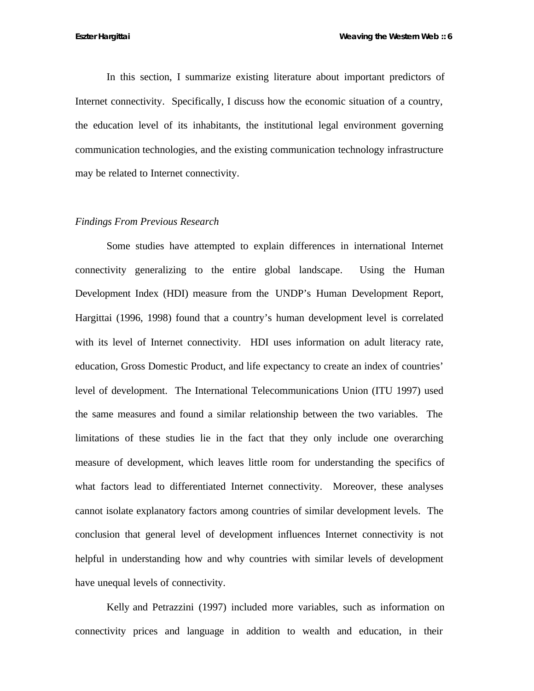In this section, I summarize existing literature about important predictors of Internet connectivity. Specifically, I discuss how the economic situation of a country, the education level of its inhabitants, the institutional legal environment governing communication technologies, and the existing communication technology infrastructure may be related to Internet connectivity.

#### *Findings From Previous Research*

Some studies have attempted to explain differences in international Internet connectivity generalizing to the entire global landscape. Using the Human Development Index (HDI) measure from the UNDP's Human Development Report, Hargittai (1996, 1998) found that a country's human development level is correlated with its level of Internet connectivity. HDI uses information on adult literacy rate, education, Gross Domestic Product, and life expectancy to create an index of countries' level of development. The International Telecommunications Union (ITU 1997) used the same measures and found a similar relationship between the two variables. The limitations of these studies lie in the fact that they only include one overarching measure of development, which leaves little room for understanding the specifics of what factors lead to differentiated Internet connectivity. Moreover, these analyses cannot isolate explanatory factors among countries of similar development levels. The conclusion that general level of development influences Internet connectivity is not helpful in understanding how and why countries with similar levels of development have unequal levels of connectivity.

Kelly and Petrazzini (1997) included more variables, such as information on connectivity prices and language in addition to wealth and education, in their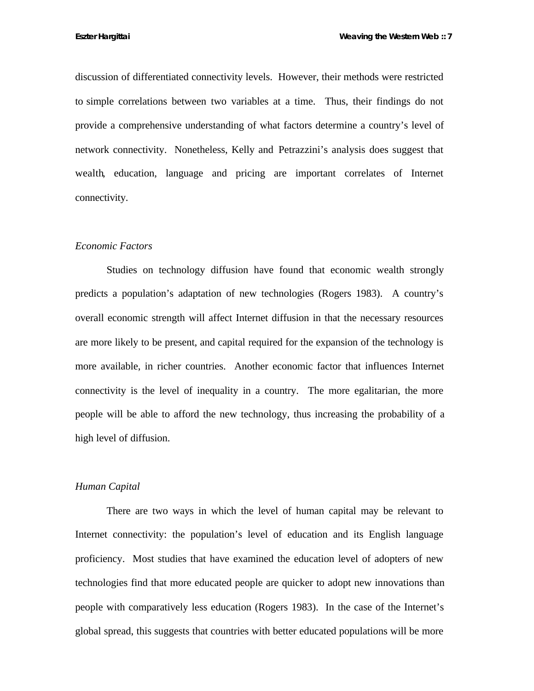discussion of differentiated connectivity levels. However, their methods were restricted to simple correlations between two variables at a time. Thus, their findings do not provide a comprehensive understanding of what factors determine a country's level of network connectivity. Nonetheless, Kelly and Petrazzini's analysis does suggest that wealth, education, language and pricing are important correlates of Internet connectivity.

### *Economic Factors*

Studies on technology diffusion have found that economic wealth strongly predicts a population's adaptation of new technologies (Rogers 1983). A country's overall economic strength will affect Internet diffusion in that the necessary resources are more likely to be present, and capital required for the expansion of the technology is more available, in richer countries. Another economic factor that influences Internet connectivity is the level of inequality in a country. The more egalitarian, the more people will be able to afford the new technology, thus increasing the probability of a high level of diffusion.

#### *Human Capital*

There are two ways in which the level of human capital may be relevant to Internet connectivity: the population's level of education and its English language proficiency. Most studies that have examined the education level of adopters of new technologies find that more educated people are quicker to adopt new innovations than people with comparatively less education (Rogers 1983). In the case of the Internet's global spread, this suggests that countries with better educated populations will be more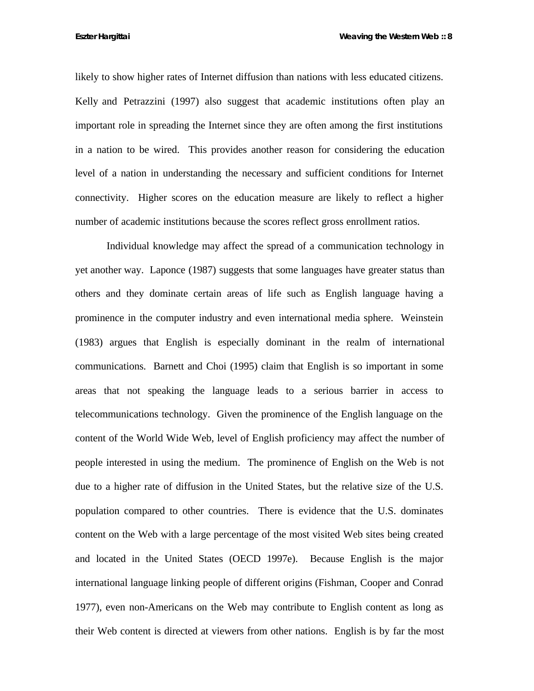likely to show higher rates of Internet diffusion than nations with less educated citizens. Kelly and Petrazzini (1997) also suggest that academic institutions often play an important role in spreading the Internet since they are often among the first institutions in a nation to be wired. This provides another reason for considering the education level of a nation in understanding the necessary and sufficient conditions for Internet connectivity. Higher scores on the education measure are likely to reflect a higher number of academic institutions because the scores reflect gross enrollment ratios.

Individual knowledge may affect the spread of a communication technology in yet another way. Laponce (1987) suggests that some languages have greater status than others and they dominate certain areas of life such as English language having a prominence in the computer industry and even international media sphere. Weinstein (1983) argues that English is especially dominant in the realm of international communications. Barnett and Choi (1995) claim that English is so important in some areas that not speaking the language leads to a serious barrier in access to telecommunications technology. Given the prominence of the English language on the content of the World Wide Web, level of English proficiency may affect the number of people interested in using the medium. The prominence of English on the Web is not due to a higher rate of diffusion in the United States, but the relative size of the U.S. population compared to other countries. There is evidence that the U.S. dominates content on the Web with a large percentage of the most visited Web sites being created and located in the United States (OECD 1997e). Because English is the major international language linking people of different origins (Fishman, Cooper and Conrad 1977), even non-Americans on the Web may contribute to English content as long as their Web content is directed at viewers from other nations. English is by far the most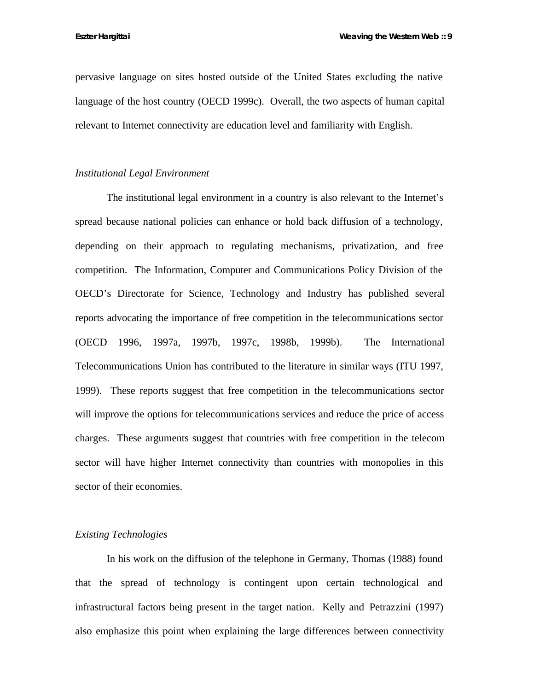pervasive language on sites hosted outside of the United States excluding the native language of the host country (OECD 1999c). Overall, the two aspects of human capital relevant to Internet connectivity are education level and familiarity with English.

#### *Institutional Legal Environment*

The institutional legal environment in a country is also relevant to the Internet's spread because national policies can enhance or hold back diffusion of a technology, depending on their approach to regulating mechanisms, privatization, and free competition. The Information, Computer and Communications Policy Division of the OECD's Directorate for Science, Technology and Industry has published several reports advocating the importance of free competition in the telecommunications sector (OECD 1996, 1997a, 1997b, 1997c, 1998b, 1999b). The International Telecommunications Union has contributed to the literature in similar ways (ITU 1997, 1999). These reports suggest that free competition in the telecommunications sector will improve the options for telecommunications services and reduce the price of access charges. These arguments suggest that countries with free competition in the telecom sector will have higher Internet connectivity than countries with monopolies in this sector of their economies.

## *Existing Technologies*

In his work on the diffusion of the telephone in Germany, Thomas (1988) found that the spread of technology is contingent upon certain technological and infrastructural factors being present in the target nation. Kelly and Petrazzini (1997) also emphasize this point when explaining the large differences between connectivity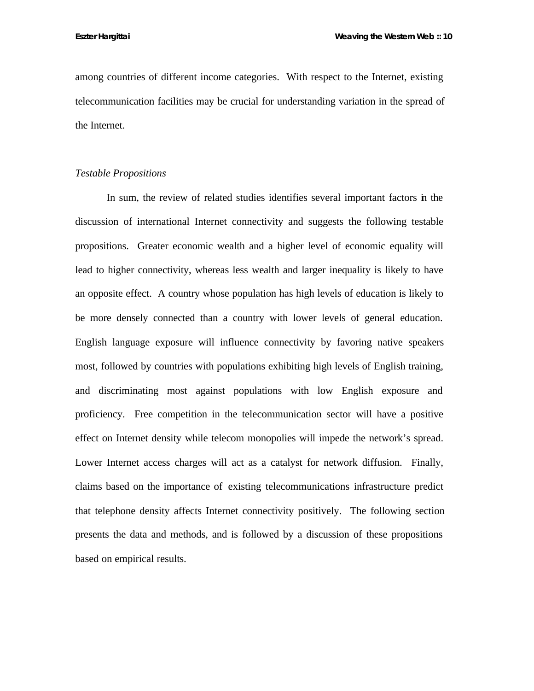among countries of different income categories. With respect to the Internet, existing telecommunication facilities may be crucial for understanding variation in the spread of the Internet.

### *Testable Propositions*

In sum, the review of related studies identifies several important factors in the discussion of international Internet connectivity and suggests the following testable propositions. Greater economic wealth and a higher level of economic equality will lead to higher connectivity, whereas less wealth and larger inequality is likely to have an opposite effect. A country whose population has high levels of education is likely to be more densely connected than a country with lower levels of general education. English language exposure will influence connectivity by favoring native speakers most, followed by countries with populations exhibiting high levels of English training, and discriminating most against populations with low English exposure and proficiency. Free competition in the telecommunication sector will have a positive effect on Internet density while telecom monopolies will impede the network's spread. Lower Internet access charges will act as a catalyst for network diffusion. Finally, claims based on the importance of existing telecommunications infrastructure predict that telephone density affects Internet connectivity positively. The following section presents the data and methods, and is followed by a discussion of these propositions based on empirical results.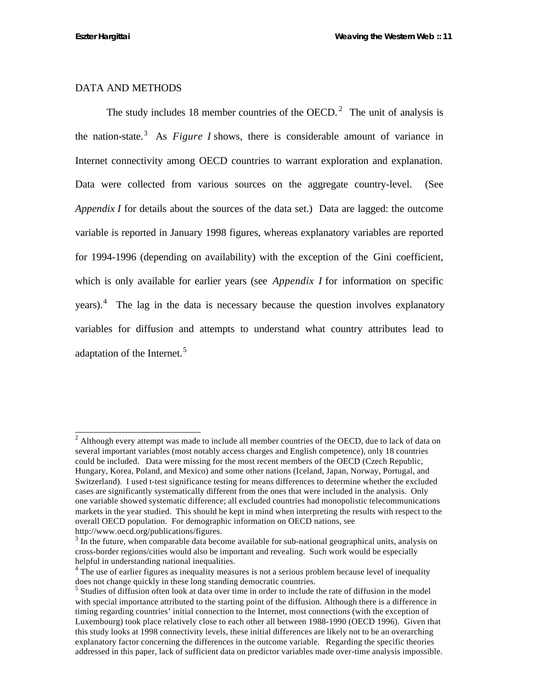### DATA AND METHODS

The study includes 18 member countries of the OECD.<sup>2</sup> The unit of analysis is the nation-state.<sup>3</sup> As *Figure I* shows, there is considerable amount of variance in Internet connectivity among OECD countries to warrant exploration and explanation. Data were collected from various sources on the aggregate country-level. (See *Appendix I* for details about the sources of the data set.) Data are lagged: the outcome variable is reported in January 1998 figures, whereas explanatory variables are reported for 1994-1996 (depending on availability) with the exception of the Gini coefficient, which is only available for earlier years (see *Appendix I* for information on specific years).<sup>4</sup> The lag in the data is necessary because the question involves explanatory variables for diffusion and attempts to understand what country attributes lead to adaptation of the Internet.<sup>5</sup>

 $2$  Although every attempt was made to include all member countries of the OECD, due to lack of data on several important variables (most notably access charges and English competence), only 18 countries could be included. Data were missing for the most recent members of the OECD (Czech Republic, Hungary, Korea, Poland, and Mexico) and some other nations (Iceland, Japan, Norway, Portugal, and Switzerland). I used t-test significance testing for means differences to determine whether the excluded cases are significantly systematically different from the ones that were included in the analysis. Only one variable showed systematic difference; all excluded countries had monopolistic telecommunications markets in the year studied. This should be kept in mind when interpreting the results with respect to the overall OECD population. For demographic information on OECD nations, see http://www.oecd.org/publications/figures.

 $3 \text{ In the future, when comparable data become available for sub-national geographical units, analysis on }$ cross-border regions/cities would also be important and revealing. Such work would be especially helpful in understanding national inequalities.

 $4$  The use of earlier figures as inequality measures is not a serious problem because level of inequality does not change quickly in these long standing democratic countries.

<sup>&</sup>lt;sup>5</sup> Studies of diffusion often look at data over time in order to include the rate of diffusion in the model with special importance attributed to the starting point of the diffusion. Although there is a difference in timing regarding countries' initial connection to the Internet, most connections (with the exception of Luxembourg) took place relatively close to each other all between 1988-1990 (OECD 1996). Given that this study looks at 1998 connectivity levels, these initial differences are likely not to be an overarching explanatory factor concerning the differences in the outcome variable. Regarding the specific theories addressed in this paper, lack of sufficient data on predictor variables made over-time analysis impossible.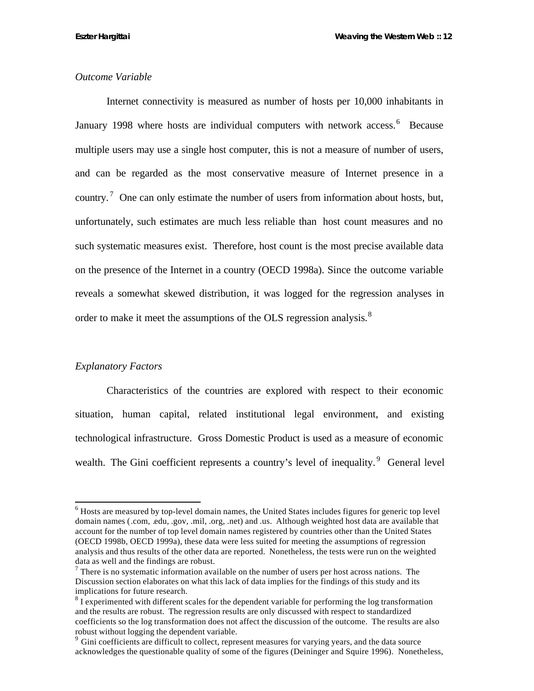## *Outcome Variable*

Internet connectivity is measured as number of hosts per 10,000 inhabitants in January 1998 where hosts are individual computers with network access.<sup>6</sup> Because multiple users may use a single host computer, this is not a measure of number of users, and can be regarded as the most conservative measure of Internet presence in a country.<sup>7</sup> One can only estimate the number of users from information about hosts, but, unfortunately, such estimates are much less reliable than host count measures and no such systematic measures exist. Therefore, host count is the most precise available data on the presence of the Internet in a country (OECD 1998a). Since the outcome variable reveals a somewhat skewed distribution, it was logged for the regression analyses in order to make it meet the assumptions of the OLS regression analysis.<sup>8</sup>

#### *Explanatory Factors*

l

Characteristics of the countries are explored with respect to their economic situation, human capital, related institutional legal environment, and existing technological infrastructure. Gross Domestic Product is used as a measure of economic wealth. The Gini coefficient represents a country's level of inequality. <sup>9</sup> General level

 $<sup>6</sup>$  Hosts are measured by top-level domain names, the United States includes figures for generic top level</sup> domain names (.com, .edu, .gov, .mil, .org, .net) and .us. Although weighted host data are available that account for the number of top level domain names registered by countries other than the United States (OECD 1998b, OECD 1999a), these data were less suited for meeting the assumptions of regression analysis and thus results of the other data are reported. Nonetheless, the tests were run on the weighted data as well and the findings are robust.

 $<sup>7</sup>$  There is no systematic information available on the number of users per host across nations. The</sup> Discussion section elaborates on what this lack of data implies for the findings of this study and its implications for future research.

 $8\text{ I}$  experimented with different scales for the dependent variable for performing the log transformation and the results are robust. The regression results are only discussed with respect to standardized coefficients so the log transformation does not affect the discussion of the outcome. The results are also robust without logging the dependent variable.

<sup>9</sup> Gini coefficients are difficult to collect, represent measures for varying years, and the data source acknowledges the questionable quality of some of the figures (Deininger and Squire 1996). Nonetheless,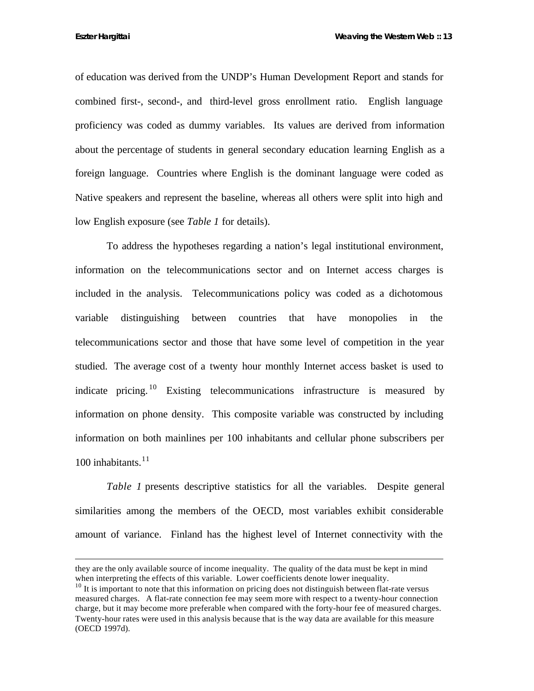of education was derived from the UNDP's Human Development Report and stands for combined first-, second-, and third-level gross enrollment ratio. English language proficiency was coded as dummy variables. Its values are derived from information about the percentage of students in general secondary education learning English as a foreign language. Countries where English is the dominant language were coded as Native speakers and represent the baseline, whereas all others were split into high and low English exposure (see *Table 1* for details).

To address the hypotheses regarding a nation's legal institutional environment, information on the telecommunications sector and on Internet access charges is included in the analysis. Telecommunications policy was coded as a dichotomous variable distinguishing between countries that have monopolies in the telecommunications sector and those that have some level of competition in the year studied. The average cost of a twenty hour monthly Internet access basket is used to indicate pricing. <sup>10</sup> Existing telecommunications infrastructure is measured by information on phone density. This composite variable was constructed by including information on both mainlines per 100 inhabitants and cellular phone subscribers per 100 inhabitants. $11$ 

*Table 1* presents descriptive statistics for all the variables. Despite general similarities among the members of the OECD, most variables exhibit considerable amount of variance. Finland has the highest level of Internet connectivity with the

they are the only available source of income inequality. The quality of the data must be kept in mind when interpreting the effects of this variable. Lower coefficients denote lower inequality.

 $10$  It is important to note that this information on pricing does not distinguish between flat-rate versus measured charges. A flat-rate connection fee may seem more with respect to a twenty-hour connection charge, but it may become more preferable when compared with the forty-hour fee of measured charges. Twenty-hour rates were used in this analysis because that is the way data are available for this measure (OECD 1997d).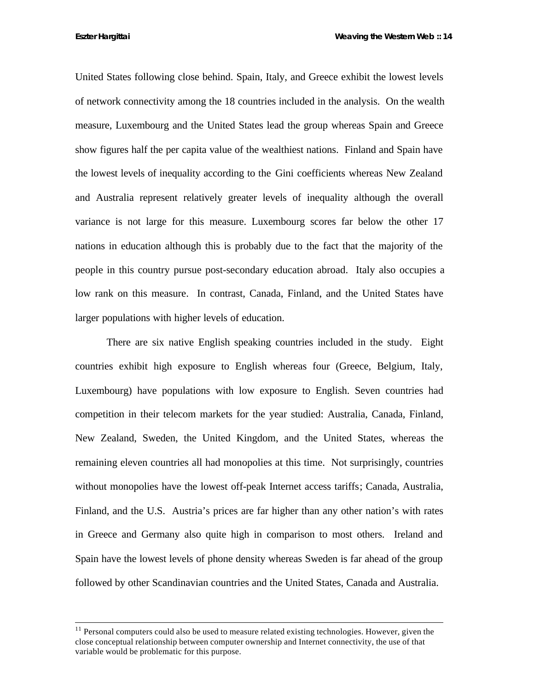United States following close behind. Spain, Italy, and Greece exhibit the lowest levels of network connectivity among the 18 countries included in the analysis. On the wealth measure, Luxembourg and the United States lead the group whereas Spain and Greece show figures half the per capita value of the wealthiest nations. Finland and Spain have the lowest levels of inequality according to the Gini coefficients whereas New Zealand and Australia represent relatively greater levels of inequality although the overall variance is not large for this measure. Luxembourg scores far below the other 17 nations in education although this is probably due to the fact that the majority of the people in this country pursue post-secondary education abroad. Italy also occupies a low rank on this measure. In contrast, Canada, Finland, and the United States have larger populations with higher levels of education.

There are six native English speaking countries included in the study. Eight countries exhibit high exposure to English whereas four (Greece, Belgium, Italy, Luxembourg) have populations with low exposure to English. Seven countries had competition in their telecom markets for the year studied: Australia, Canada, Finland, New Zealand, Sweden, the United Kingdom, and the United States, whereas the remaining eleven countries all had monopolies at this time. Not surprisingly, countries without monopolies have the lowest off-peak Internet access tariffs; Canada, Australia, Finland, and the U.S. Austria's prices are far higher than any other nation's with rates in Greece and Germany also quite high in comparison to most others. Ireland and Spain have the lowest levels of phone density whereas Sweden is far ahead of the group followed by other Scandinavian countries and the United States, Canada and Australia.

 $11$  Personal computers could also be used to measure related existing technologies. However, given the close conceptual relationship between computer ownership and Internet connectivity, the use of that variable would be problematic for this purpose.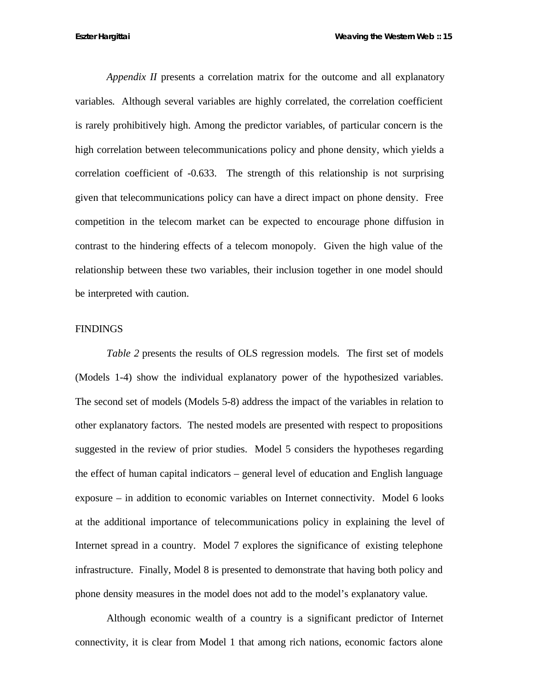*Appendix II* presents a correlation matrix for the outcome and all explanatory variables*.* Although several variables are highly correlated, the correlation coefficient is rarely prohibitively high. Among the predictor variables, of particular concern is the high correlation between telecommunications policy and phone density, which yields a correlation coefficient of -0.633. The strength of this relationship is not surprising given that telecommunications policy can have a direct impact on phone density. Free competition in the telecom market can be expected to encourage phone diffusion in contrast to the hindering effects of a telecom monopoly. Given the high value of the relationship between these two variables, their inclusion together in one model should be interpreted with caution.

#### **FINDINGS**

*Table 2* presents the results of OLS regression models. The first set of models (Models 1-4) show the individual explanatory power of the hypothesized variables. The second set of models (Models 5-8) address the impact of the variables in relation to other explanatory factors. The nested models are presented with respect to propositions suggested in the review of prior studies. Model 5 considers the hypotheses regarding the effect of human capital indicators – general level of education and English language exposure – in addition to economic variables on Internet connectivity. Model 6 looks at the additional importance of telecommunications policy in explaining the level of Internet spread in a country. Model 7 explores the significance of existing telephone infrastructure. Finally, Model 8 is presented to demonstrate that having both policy and phone density measures in the model does not add to the model's explanatory value.

Although economic wealth of a country is a significant predictor of Internet connectivity, it is clear from Model 1 that among rich nations, economic factors alone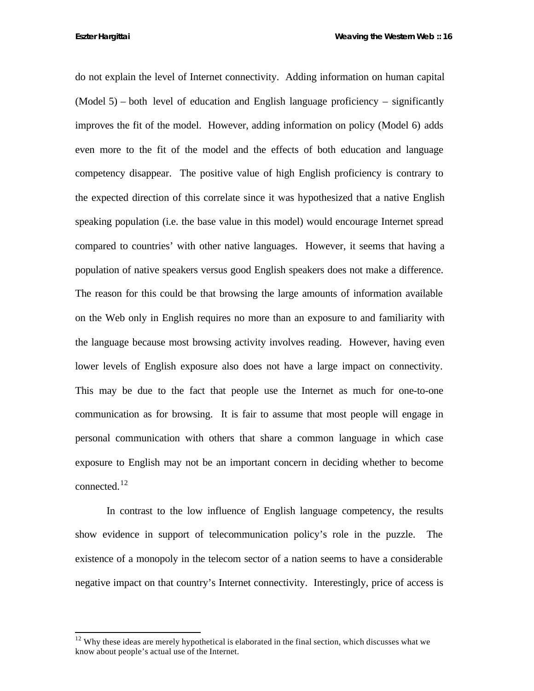do not explain the level of Internet connectivity. Adding information on human capital  $(Model 5)$  – both level of education and English language proficiency – significantly improves the fit of the model. However, adding information on policy (Model 6) adds even more to the fit of the model and the effects of both education and language competency disappear. The positive value of high English proficiency is contrary to the expected direction of this correlate since it was hypothesized that a native English speaking population (i.e. the base value in this model) would encourage Internet spread compared to countries' with other native languages. However, it seems that having a population of native speakers versus good English speakers does not make a difference. The reason for this could be that browsing the large amounts of information available on the Web only in English requires no more than an exposure to and familiarity with the language because most browsing activity involves reading. However, having even lower levels of English exposure also does not have a large impact on connectivity. This may be due to the fact that people use the Internet as much for one-to-one communication as for browsing. It is fair to assume that most people will engage in personal communication with others that share a common language in which case exposure to English may not be an important concern in deciding whether to become connected.<sup>12</sup>

In contrast to the low influence of English language competency, the results show evidence in support of telecommunication policy's role in the puzzle. The existence of a monopoly in the telecom sector of a nation seems to have a considerable negative impact on that country's Internet connectivity. Interestingly, price of access is

 $12$  Why these ideas are merely hypothetical is elaborated in the final section, which discusses what we know about people's actual use of the Internet.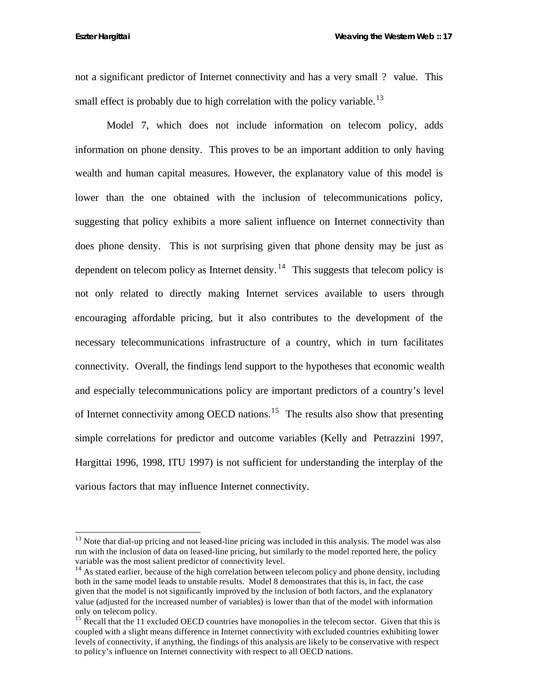not a significant predictor of Internet connectivity and has a very small ? value. This small effect is probably due to high correlation with the policy variable.<sup>13</sup>

Model 7, which does not include information on telecom policy, adds information on phone density. This proves to be an important addition to only having wealth and human capital measures. However, the explanatory value of this model is lower than the one obtained with the inclusion of telecommunications policy, suggesting that policy exhibits a more salient influence on Internet connectivity than does phone density. This is not surprising given that phone density may be just as dependent on telecom policy as Internet density. <sup>14</sup> This suggests that telecom policy is not only related to directly making Internet services available to users through encouraging affordable pricing, but it also contributes to the development of the necessary telecommunications infrastructure of a country, which in turn facilitates connectivity. Overall, the findings lend support to the hypotheses that economic wealth and especially telecommunications policy are important predictors of a country's level of Internet connectivity among OECD nations.<sup>15</sup> The results also show that presenting simple correlations for predictor and outcome variables (Kelly and Petrazzini 1997, Hargittai 1996, 1998, ITU 1997) is not sufficient for understanding the interplay of the various factors that may influence Internet connectivity.

 $13$  Note that dial-up pricing and not leased-line pricing was included in this analysis. The model was also run with the inclusion of data on leased-line pricing, but similarly to the model reported here, the policy variable was the most salient predictor of connectivity level.

<sup>&</sup>lt;sup>14</sup> As stated earlier, because of the high correlation between telecom policy and phone density, including both in the same model leads to unstable results. Model 8 demonstrates that this is, in fact, the case given that the model is not significantly improved by the inclusion of both factors, and the explanatory value (adjusted for the increased number of variables) is lower than that of the model with information only on telecom policy.

<sup>&</sup>lt;sup>15</sup> Recall that the 11 excluded OECD countries have monopolies in the telecom sector. Given that this is coupled with a slight means difference in Internet connectivity with excluded countries exhibiting lower levels of connectivity, if anything, the findings of this analysis are likely to be conservative with respect to policy's influence on Internet connectivity with respect to all OECD nations.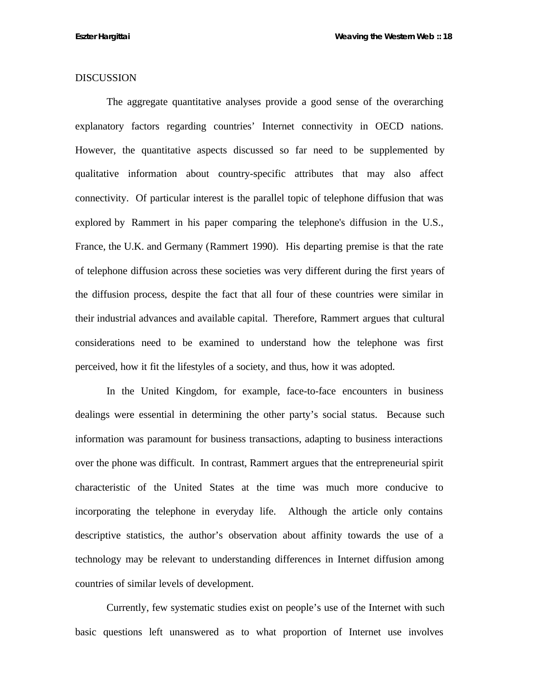## DISCUSSION

The aggregate quantitative analyses provide a good sense of the overarching explanatory factors regarding countries' Internet connectivity in OECD nations. However, the quantitative aspects discussed so far need to be supplemented by qualitative information about country-specific attributes that may also affect connectivity. Of particular interest is the parallel topic of telephone diffusion that was explored by Rammert in his paper comparing the telephone's diffusion in the U.S., France, the U.K. and Germany (Rammert 1990). His departing premise is that the rate of telephone diffusion across these societies was very different during the first years of the diffusion process, despite the fact that all four of these countries were similar in their industrial advances and available capital. Therefore, Rammert argues that cultural considerations need to be examined to understand how the telephone was first perceived, how it fit the lifestyles of a society, and thus, how it was adopted.

In the United Kingdom, for example, face-to-face encounters in business dealings were essential in determining the other party's social status. Because such information was paramount for business transactions, adapting to business interactions over the phone was difficult. In contrast, Rammert argues that the entrepreneurial spirit characteristic of the United States at the time was much more conducive to incorporating the telephone in everyday life. Although the article only contains descriptive statistics, the author's observation about affinity towards the use of a technology may be relevant to understanding differences in Internet diffusion among countries of similar levels of development.

Currently, few systematic studies exist on people's use of the Internet with such basic questions left unanswered as to what proportion of Internet use involves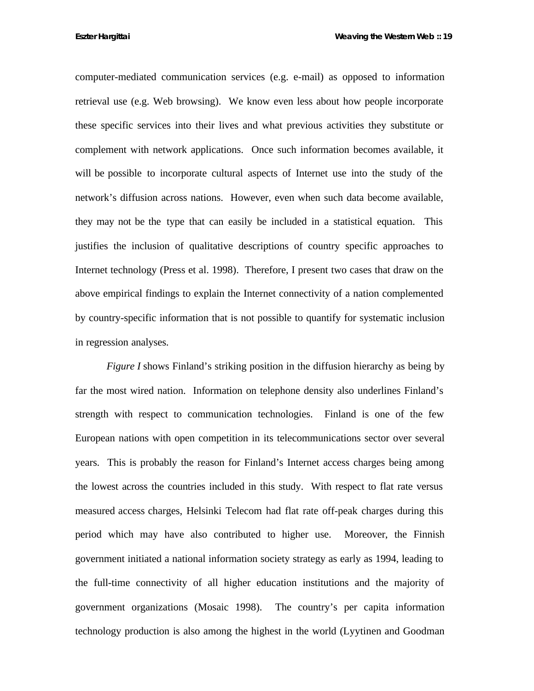computer-mediated communication services (e.g. e-mail) as opposed to information retrieval use (e.g. Web browsing). We know even less about how people incorporate these specific services into their lives and what previous activities they substitute or complement with network applications. Once such information becomes available, it will be possible to incorporate cultural aspects of Internet use into the study of the network's diffusion across nations. However, even when such data become available, they may not be the type that can easily be included in a statistical equation. This justifies the inclusion of qualitative descriptions of country specific approaches to Internet technology (Press et al. 1998). Therefore, I present two cases that draw on the above empirical findings to explain the Internet connectivity of a nation complemented by country-specific information that is not possible to quantify for systematic inclusion in regression analyses.

*Figure I* shows Finland's striking position in the diffusion hierarchy as being by far the most wired nation. Information on telephone density also underlines Finland's strength with respect to communication technologies. Finland is one of the few European nations with open competition in its telecommunications sector over several years. This is probably the reason for Finland's Internet access charges being among the lowest across the countries included in this study. With respect to flat rate versus measured access charges, Helsinki Telecom had flat rate off-peak charges during this period which may have also contributed to higher use. Moreover, the Finnish government initiated a national information society strategy as early as 1994, leading to the full-time connectivity of all higher education institutions and the majority of government organizations (Mosaic 1998). The country's per capita information technology production is also among the highest in the world (Lyytinen and Goodman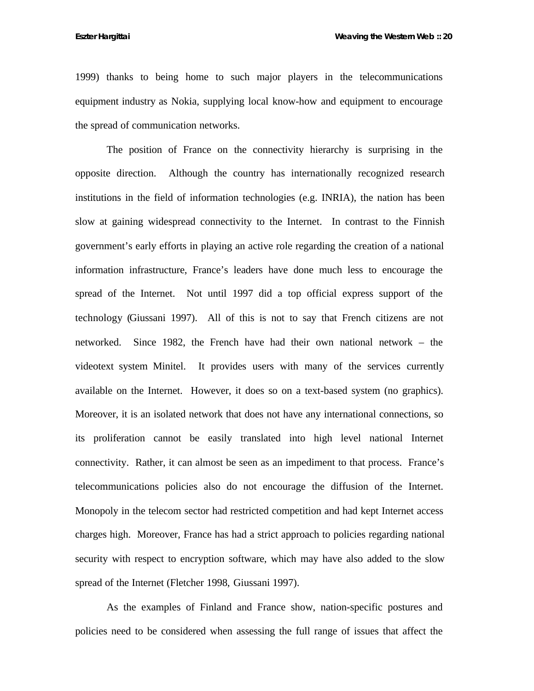1999) thanks to being home to such major players in the telecommunications equipment industry as Nokia, supplying local know-how and equipment to encourage the spread of communication networks.

The position of France on the connectivity hierarchy is surprising in the opposite direction. Although the country has internationally recognized research institutions in the field of information technologies (e.g. INRIA), the nation has been slow at gaining widespread connectivity to the Internet. In contrast to the Finnish government's early efforts in playing an active role regarding the creation of a national information infrastructure, France's leaders have done much less to encourage the spread of the Internet. Not until 1997 did a top official express support of the technology (Giussani 1997). All of this is not to say that French citizens are not networked. Since 1982, the French have had their own national network – the videotext system Minitel. It provides users with many of the services currently available on the Internet. However, it does so on a text-based system (no graphics). Moreover, it is an isolated network that does not have any international connections, so its proliferation cannot be easily translated into high level national Internet connectivity. Rather, it can almost be seen as an impediment to that process. France's telecommunications policies also do not encourage the diffusion of the Internet. Monopoly in the telecom sector had restricted competition and had kept Internet access charges high. Moreover, France has had a strict approach to policies regarding national security with respect to encryption software, which may have also added to the slow spread of the Internet (Fletcher 1998, Giussani 1997).

As the examples of Finland and France show, nation-specific postures and policies need to be considered when assessing the full range of issues that affect the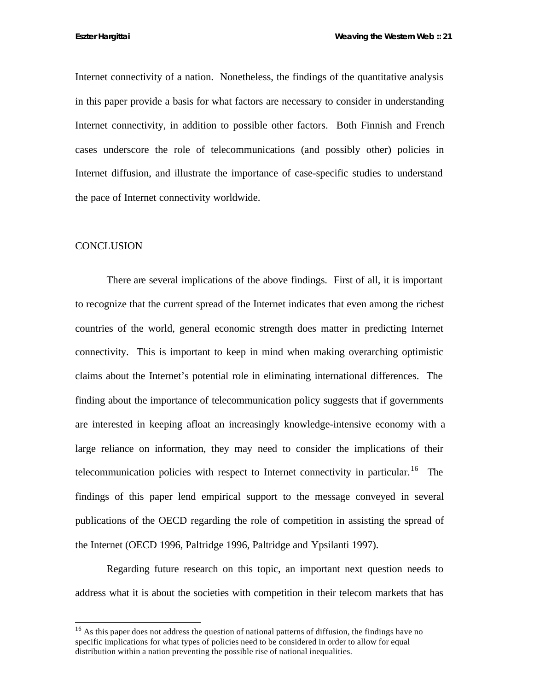Internet connectivity of a nation. Nonetheless, the findings of the quantitative analysis in this paper provide a basis for what factors are necessary to consider in understanding Internet connectivity, in addition to possible other factors. Both Finnish and French cases underscore the role of telecommunications (and possibly other) policies in Internet diffusion, and illustrate the importance of case-specific studies to understand the pace of Internet connectivity worldwide.

#### **CONCLUSION**

l

There are several implications of the above findings. First of all, it is important to recognize that the current spread of the Internet indicates that even among the richest countries of the world, general economic strength does matter in predicting Internet connectivity. This is important to keep in mind when making overarching optimistic claims about the Internet's potential role in eliminating international differences. The finding about the importance of telecommunication policy suggests that if governments are interested in keeping afloat an increasingly knowledge-intensive economy with a large reliance on information, they may need to consider the implications of their telecommunication policies with respect to Internet connectivity in particular.<sup>16</sup> The findings of this paper lend empirical support to the message conveyed in several publications of the OECD regarding the role of competition in assisting the spread of the Internet (OECD 1996, Paltridge 1996, Paltridge and Ypsilanti 1997).

Regarding future research on this topic, an important next question needs to address what it is about the societies with competition in their telecom markets that has

 $16$  As this paper does not address the question of national patterns of diffusion, the findings have no specific implications for what types of policies need to be considered in order to allow for equal distribution within a nation preventing the possible rise of national inequalities.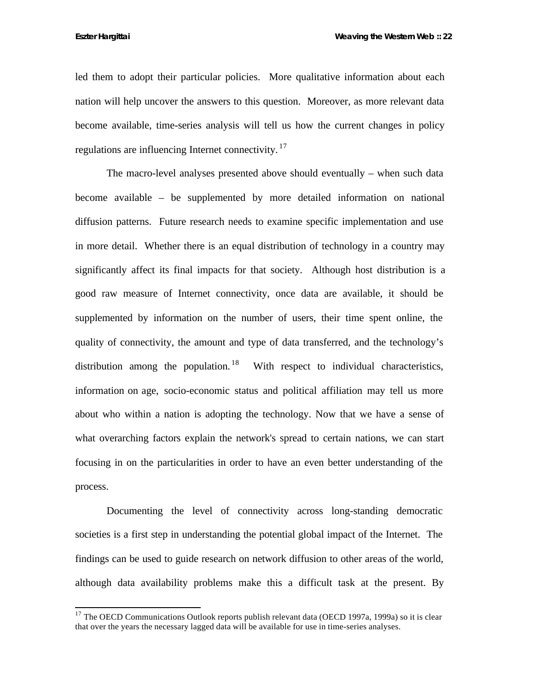led them to adopt their particular policies. More qualitative information about each nation will help uncover the answers to this question. Moreover, as more relevant data become available, time-series analysis will tell us how the current changes in policy regulations are influencing Internet connectivity.<sup>17</sup>

The macro-level analyses presented above should eventually – when such data become available – be supplemented by more detailed information on national diffusion patterns. Future research needs to examine specific implementation and use in more detail. Whether there is an equal distribution of technology in a country may significantly affect its final impacts for that society. Although host distribution is a good raw measure of Internet connectivity, once data are available, it should be supplemented by information on the number of users, their time spent online, the quality of connectivity, the amount and type of data transferred, and the technology's distribution among the population. <sup>18</sup> With respect to individual characteristics, information on age, socio-economic status and political affiliation may tell us more about who within a nation is adopting the technology. Now that we have a sense of what overarching factors explain the network's spread to certain nations, we can start focusing in on the particularities in order to have an even better understanding of the process.

Documenting the level of connectivity across long-standing democratic societies is a first step in understanding the potential global impact of the Internet. The findings can be used to guide research on network diffusion to other areas of the world, although data availability problems make this a difficult task at the present. By

 $17$  The OECD Communications Outlook reports publish relevant data (OECD 1997a, 1999a) so it is clear that over the years the necessary lagged data will be available for use in time-series analyses.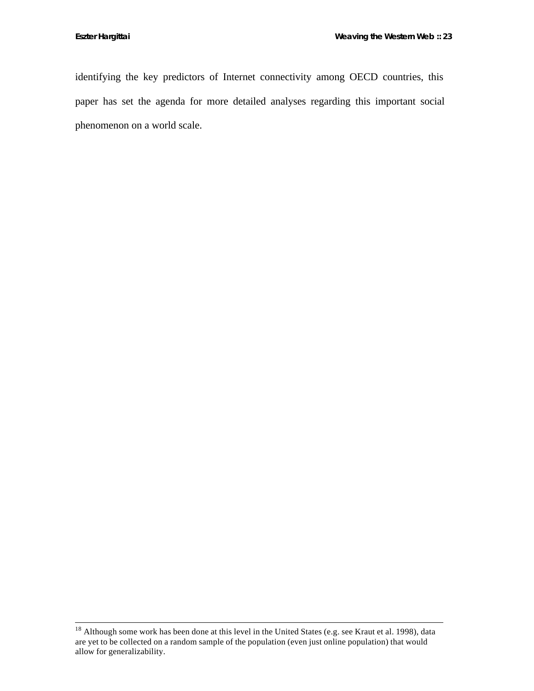identifying the key predictors of Internet connectivity among OECD countries, this paper has set the agenda for more detailed analyses regarding this important social phenomenon on a world scale.

 $18$  Although some work has been done at this level in the United States (e.g. see Kraut et al. 1998), data are yet to be collected on a random sample of the population (even just online population) that would allow for generalizability.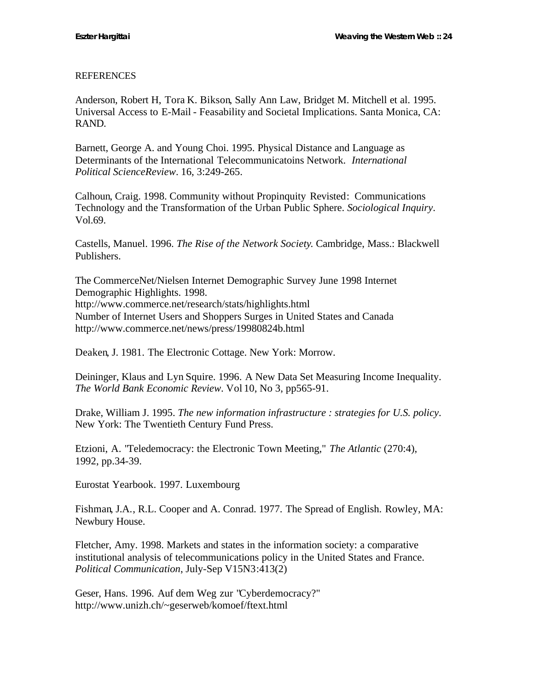## REFERENCES

Anderson, Robert H, Tora K. Bikson, Sally Ann Law, Bridget M. Mitchell et al. 1995. Universal Access to E-Mail - Feasability and Societal Implications. Santa Monica, CA: RAND.

Barnett, George A. and Young Choi. 1995. Physical Distance and Language as Determinants of the International Telecommunicatoins Network. *International Political ScienceReview*. 16, 3:249-265.

Calhoun, Craig. 1998. Community without Propinquity Revisted: Communications Technology and the Transformation of the Urban Public Sphere. *Sociological Inquiry*. Vol.69.

Castells, Manuel. 1996. *The Rise of the Network Society*. Cambridge, Mass.: Blackwell Publishers.

The CommerceNet/Nielsen Internet Demographic Survey June 1998 Internet Demographic Highlights. 1998. http://www.commerce.net/research/stats/highlights.html Number of Internet Users and Shoppers Surges in United States and Canada http://www.commerce.net/news/press/19980824b.html

Deaken, J. 1981. The Electronic Cottage. New York: Morrow.

Deininger, Klaus and Lyn Squire. 1996. A New Data Set Measuring Income Inequality. *The World Bank Economic Review*. Vol 10, No 3, pp565-91.

Drake, William J. 1995. *The new information infrastructure : strategies for U.S. policy*. New York: The Twentieth Century Fund Press.

Etzioni, A. "Teledemocracy: the Electronic Town Meeting," *The Atlantic* (270:4), 1992, pp.34-39.

Eurostat Yearbook. 1997. Luxembourg

Fishman, J.A., R.L. Cooper and A. Conrad. 1977. The Spread of English. Rowley, MA: Newbury House.

Fletcher, Amy. 1998. Markets and states in the information society: a comparative institutional analysis of telecommunications policy in the United States and France. *Political Communication*, July-Sep V15N3:413(2)

Geser, Hans. 1996. Auf dem Weg zur "Cyberdemocracy?" http://www.unizh.ch/~geserweb/komoef/ftext.html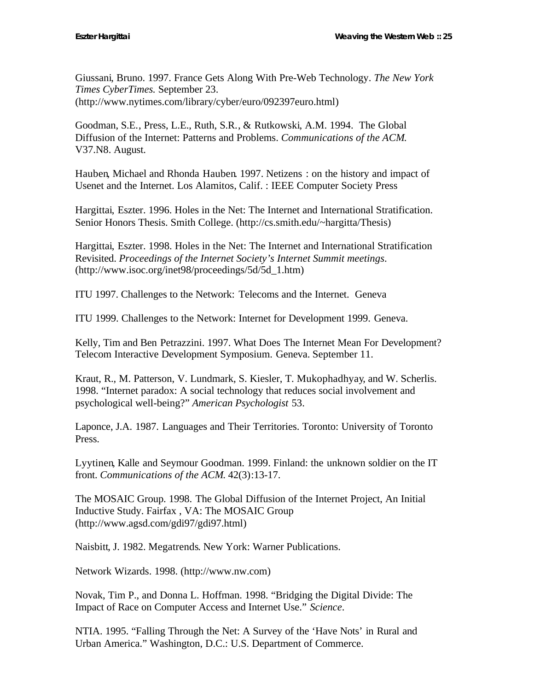Giussani, Bruno. 1997. France Gets Along With Pre-Web Technology. *The New York Times CyberTimes.* September 23. (http://www.nytimes.com/library/cyber/euro/092397euro.html)

Goodman, S.E., Press, L.E., Ruth, S.R., & Rutkowski, A.M. 1994. The Global Diffusion of the Internet: Patterns and Problems. *Communications of the ACM*. V37.N8. August.

Hauben, Michael and Rhonda Hauben. 1997. Netizens : on the history and impact of Usenet and the Internet. Los Alamitos, Calif. : IEEE Computer Society Press

Hargittai, Eszter. 1996. Holes in the Net: The Internet and International Stratification. Senior Honors Thesis. Smith College. (http://cs.smith.edu/~hargitta/Thesis)

Hargittai, Eszter. 1998. Holes in the Net: The Internet and International Stratification Revisited. *Proceedings of the Internet Society's Internet Summit meetings*. (http://www.isoc.org/inet98/proceedings/5d/5d\_1.htm)

ITU 1997. Challenges to the Network: Telecoms and the Internet. Geneva

ITU 1999. Challenges to the Network: Internet for Development 1999. Geneva.

Kelly, Tim and Ben Petrazzini. 1997. What Does The Internet Mean For Development? Telecom Interactive Development Symposium. Geneva. September 11.

Kraut, R., M. Patterson, V. Lundmark, S. Kiesler, T. Mukophadhyay, and W. Scherlis. 1998. "Internet paradox: A social technology that reduces social involvement and psychological well-being?" *American Psychologist* 53.

Laponce, J.A. 1987. Languages and Their Territories. Toronto: University of Toronto Press.

Lyytinen, Kalle and Seymour Goodman. 1999. Finland: the unknown soldier on the IT front. *Communications of the ACM*. 42(3):13-17.

The MOSAIC Group. 1998. The Global Diffusion of the Internet Project, An Initial Inductive Study. Fairfax , VA: The MOSAIC Group (http://www.agsd.com/gdi97/gdi97.html)

Naisbitt, J. 1982. Megatrends. New York: Warner Publications.

Network Wizards. 1998. (http://www.nw.com)

Novak, Tim P., and Donna L. Hoffman. 1998. "Bridging the Digital Divide: The Impact of Race on Computer Access and Internet Use." *Science*.

NTIA. 1995. "Falling Through the Net: A Survey of the 'Have Nots' in Rural and Urban America." Washington, D.C.: U.S. Department of Commerce.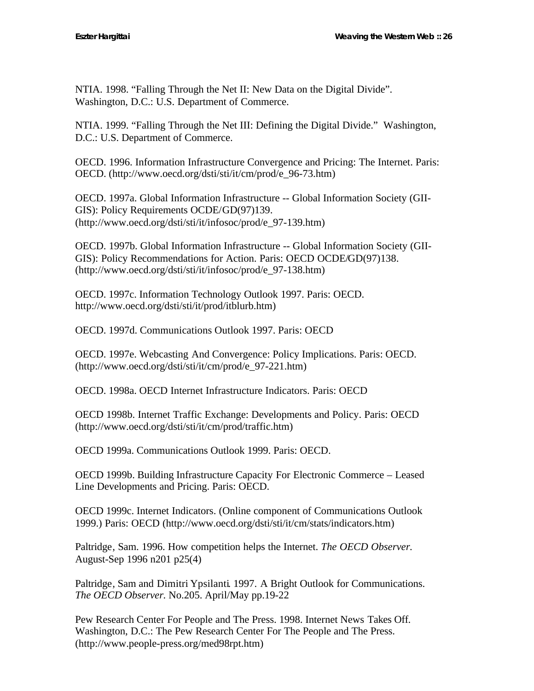NTIA. 1998. "Falling Through the Net II: New Data on the Digital Divide". Washington, D.C.: U.S. Department of Commerce.

NTIA. 1999. "Falling Through the Net III: Defining the Digital Divide." Washington, D.C.: U.S. Department of Commerce.

OECD. 1996. Information Infrastructure Convergence and Pricing: The Internet. Paris: OECD. (http://www.oecd.org/dsti/sti/it/cm/prod/e\_96-73.htm)

OECD. 1997a. Global Information Infrastructure -- Global Information Society (GII-GIS): Policy Requirements OCDE/GD(97)139. (http://www.oecd.org/dsti/sti/it/infosoc/prod/e\_97-139.htm)

OECD. 1997b. Global Information Infrastructure -- Global Information Society (GII-GIS): Policy Recommendations for Action. Paris: OECD OCDE/GD(97)138. (http://www.oecd.org/dsti/sti/it/infosoc/prod/e\_97-138.htm)

OECD. 1997c. Information Technology Outlook 1997. Paris: OECD. http://www.oecd.org/dsti/sti/it/prod/itblurb.htm)

OECD. 1997d. Communications Outlook 1997. Paris: OECD

OECD. 1997e. Webcasting And Convergence: Policy Implications. Paris: OECD. (http://www.oecd.org/dsti/sti/it/cm/prod/e\_97-221.htm)

OECD. 1998a. OECD Internet Infrastructure Indicators. Paris: OECD

OECD 1998b. Internet Traffic Exchange: Developments and Policy. Paris: OECD (http://www.oecd.org/dsti/sti/it/cm/prod/traffic.htm)

OECD 1999a. Communications Outlook 1999. Paris: OECD.

OECD 1999b. Building Infrastructure Capacity For Electronic Commerce – Leased Line Developments and Pricing. Paris: OECD.

OECD 1999c. Internet Indicators. (Online component of Communications Outlook 1999.) Paris: OECD (http://www.oecd.org/dsti/sti/it/cm/stats/indicators.htm)

Paltridge, Sam. 1996. How competition helps the Internet. *The OECD Observer.* August-Sep 1996 n201 p25(4)

Paltridge, Sam and Dimitri Ypsilanti. 1997. A Bright Outlook for Communications. *The OECD Observer.* No.205. April/May pp.19-22

Pew Research Center For People and The Press. 1998. Internet News Takes Off. Washington, D.C.: The Pew Research Center For The People and The Press. (http://www.people-press.org/med98rpt.htm)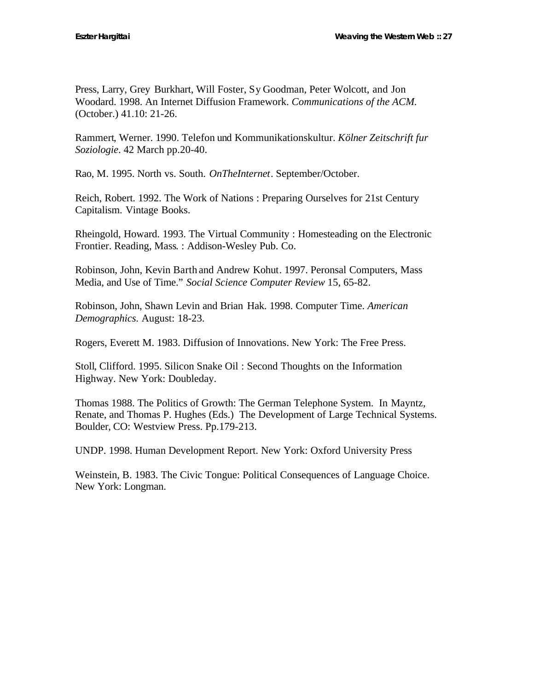Press, Larry, Grey Burkhart, Will Foster, Sy Goodman, Peter Wolcott, and Jon Woodard. 1998. An Internet Diffusion Framework. *Communications of the ACM.* (October.) 41.10: 21-26.

Rammert, Werner. 1990. Telefon und Kommunikationskultur. *Kölner Zeitschrift fur Soziologie*. 42 March pp.20-40.

Rao, M. 1995. North vs. South. *OnTheInternet*. September/October.

Reich, Robert. 1992. The Work of Nations : Preparing Ourselves for 21st Century Capitalism. Vintage Books.

Rheingold, Howard. 1993. The Virtual Community : Homesteading on the Electronic Frontier. Reading, Mass. : Addison-Wesley Pub. Co.

Robinson, John, Kevin Barth and Andrew Kohut. 1997. Peronsal Computers, Mass Media, and Use of Time." *Social Science Computer Review* 15, 65-82.

Robinson, John, Shawn Levin and Brian Hak. 1998. Computer Time. *American Demographics*. August: 18-23.

Rogers, Everett M. 1983. Diffusion of Innovations. New York: The Free Press.

Stoll, Clifford. 1995. Silicon Snake Oil : Second Thoughts on the Information Highway. New York: Doubleday.

Thomas 1988. The Politics of Growth: The German Telephone System. In Mayntz, Renate, and Thomas P. Hughes (Eds.) The Development of Large Technical Systems. Boulder, CO: Westview Press. Pp.179-213.

UNDP. 1998. Human Development Report. New York: Oxford University Press

Weinstein, B. 1983. The Civic Tongue: Political Consequences of Language Choice. New York: Longman.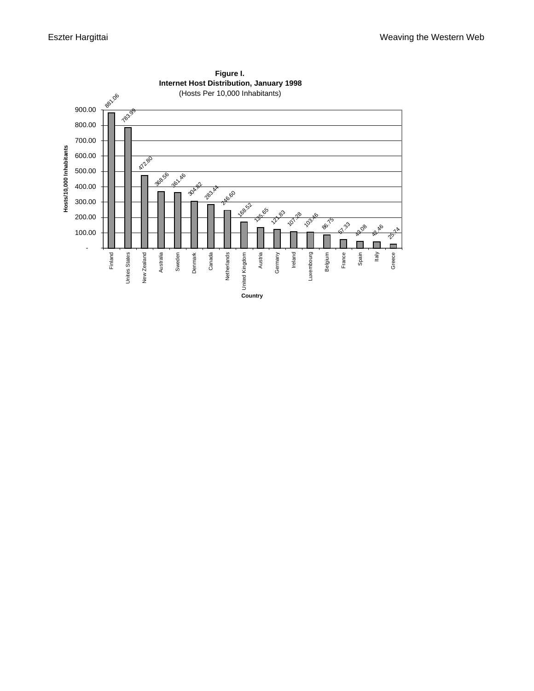

**Figure I. Internet Host Distribution, January 1998**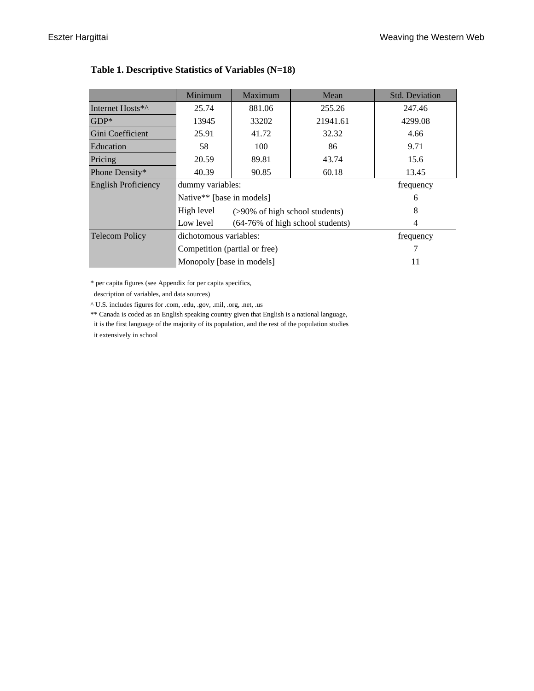|                              | Minimum                       | Maximum                        | Mean                             | <b>Std. Deviation</b> |  |  |
|------------------------------|-------------------------------|--------------------------------|----------------------------------|-----------------------|--|--|
| Internet Hosts <sup>*^</sup> | 25.74                         | 881.06                         | 255.26                           | 247.46                |  |  |
| $GDP*$                       | 13945                         | 33202                          | 21941.61                         | 4299.08               |  |  |
| Gini Coefficient             | 25.91                         | 41.72                          | 32.32                            | 4.66                  |  |  |
| Education                    | 58                            | 100                            | 86                               | 9.71                  |  |  |
| Pricing                      | 20.59                         | 89.81                          | 43.74                            | 15.6                  |  |  |
| Phone Density*               | 40.39                         | 90.85                          | 60.18                            | 13.45                 |  |  |
| <b>English Proficiency</b>   | dummy variables:              |                                |                                  | frequency             |  |  |
|                              | Native** [base in models]     |                                |                                  | 6                     |  |  |
|                              | High level                    | (>90% of high school students) |                                  | 8                     |  |  |
|                              | Low level                     |                                | (64-76% of high school students) | 4                     |  |  |
| <b>Telecom Policy</b>        | dichotomous variables:        |                                | frequency                        |                       |  |  |
|                              | Competition (partial or free) |                                |                                  |                       |  |  |
|                              | Monopoly [base in models]     |                                | 11                               |                       |  |  |

# **Table 1. Descriptive Statistics of Variables (N=18)**

\* per capita figures (see Appendix for per capita specifics,

description of variables, and data sources)

^ U.S. includes figures for .com, .edu, .gov, .mil, .org, .net, .us

\*\* Canada is coded as an English speaking country given that English is a national language,

 it is the first language of the majority of its population, and the rest of the population studies it extensively in school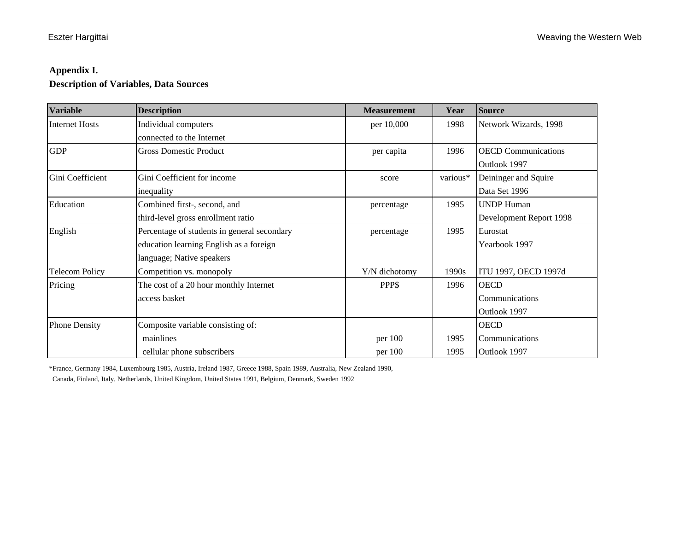## **Appendix I.**

# **Description of Variables, Data Sources**

| <b>Variable</b>       | <b>Description</b>                          | <b>Measurement</b> | Year     | <b>Source</b>              |
|-----------------------|---------------------------------------------|--------------------|----------|----------------------------|
| <b>Internet Hosts</b> | Individual computers                        | per 10,000         | 1998     | Network Wizards, 1998      |
|                       | connected to the Internet                   |                    |          |                            |
| <b>GDP</b>            | <b>Gross Domestic Product</b>               | per capita         | 1996     | <b>OECD</b> Communications |
|                       |                                             |                    |          | Outlook 1997               |
| Gini Coefficient      | Gini Coefficient for income                 | score              | various* | Deininger and Squire       |
|                       | inequality                                  |                    |          | Data Set 1996              |
| Education             | Combined first-, second, and                | percentage         | 1995     | <b>UNDP Human</b>          |
|                       | third-level gross enrollment ratio          |                    |          | Development Report 1998    |
| English               | Percentage of students in general secondary | percentage         | 1995     | Eurostat                   |
|                       | education learning English as a foreign     |                    |          | Yearbook 1997              |
|                       | language; Native speakers                   |                    |          |                            |
| <b>Telecom Policy</b> | Competition vs. monopoly                    | Y/N dichotomy      | 1990s    | ITU 1997, OECD 1997d       |
| Pricing               | The cost of a 20 hour monthly Internet      | PPP\$              | 1996     | <b>OECD</b>                |
|                       | access basket                               |                    |          | Communications             |
|                       |                                             |                    |          | Outlook 1997               |
| <b>Phone Density</b>  | Composite variable consisting of:           |                    |          | <b>OECD</b>                |
|                       | mainlines                                   | per 100            | 1995     | Communications             |
|                       | cellular phone subscribers                  | per 100            | 1995     | Outlook 1997               |

\*France, Germany 1984, Luxembourg 1985, Austria, Ireland 1987, Greece 1988, Spain 1989, Australia, New Zealand 1990,

Canada, Finland, Italy, Netherlands, United Kingdom, United States 1991, Belgium, Denmark, Sweden 1992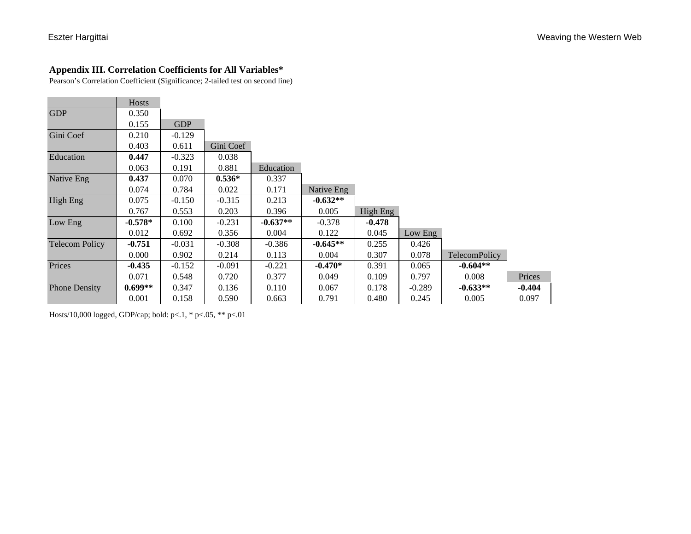## **Appendix III. Correlation Coefficients for All Variables\***

Pearson's Correlation Coefficient (Significance; 2-tailed test on second line)

|                       | Hosts     |            |           |            |            |          |          |                      |          |
|-----------------------|-----------|------------|-----------|------------|------------|----------|----------|----------------------|----------|
| <b>GDP</b>            | 0.350     |            |           |            |            |          |          |                      |          |
|                       | 0.155     | <b>GDP</b> |           |            |            |          |          |                      |          |
| Gini Coef             | 0.210     | $-0.129$   |           |            |            |          |          |                      |          |
|                       | 0.403     | 0.611      | Gini Coef |            |            |          |          |                      |          |
| Education             | 0.447     | $-0.323$   | 0.038     |            |            |          |          |                      |          |
|                       | 0.063     | 0.191      | 0.881     | Education  |            |          |          |                      |          |
| Native Eng            | 0.437     | 0.070      | $0.536*$  | 0.337      |            |          |          |                      |          |
|                       | 0.074     | 0.784      | 0.022     | 0.171      | Native Eng |          |          |                      |          |
| <b>High Eng</b>       | 0.075     | $-0.150$   | $-0.315$  | 0.213      | $-0.632**$ |          |          |                      |          |
|                       | 0.767     | 0.553      | 0.203     | 0.396      | 0.005      | High Eng |          |                      |          |
| Low Eng               | $-0.578*$ | 0.100      | $-0.231$  | $-0.637**$ | $-0.378$   | $-0.478$ |          |                      |          |
|                       | 0.012     | 0.692      | 0.356     | 0.004      | 0.122      | 0.045    | Low Eng  |                      |          |
| <b>Telecom Policy</b> | $-0.751$  | $-0.031$   | $-0.308$  | $-0.386$   | $-0.645**$ | 0.255    | 0.426    |                      |          |
|                       | 0.000     | 0.902      | 0.214     | 0.113      | 0.004      | 0.307    | 0.078    | <b>TelecomPolicy</b> |          |
| Prices                | $-0.435$  | $-0.152$   | $-0.091$  | $-0.221$   | $-0.470*$  | 0.391    | 0.065    | $-0.604**$           |          |
|                       | 0.071     | 0.548      | 0.720     | 0.377      | 0.049      | 0.109    | 0.797    | 0.008                | Prices   |
| <b>Phone Density</b>  | $0.699**$ | 0.347      | 0.136     | 0.110      | 0.067      | 0.178    | $-0.289$ | $-0.633**$           | $-0.404$ |
|                       | 0.001     | 0.158      | 0.590     | 0.663      | 0.791      | 0.480    | 0.245    | 0.005                | 0.097    |

Hosts/10,000 logged, GDP/cap; bold: p<.1, \* p<.05, \*\* p<.01